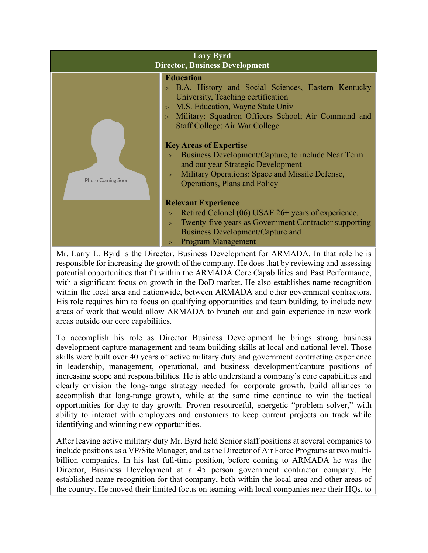| <b>Education</b><br>> B.A. History and Social Sciences, Eastern Kentucky<br>University, Teaching certification<br>> M.S. Education, Wayne State Univ<br>> Military: Squadron Officers School; Air Command and<br><b>Staff College; Air War College</b><br><b>Key Areas of Expertise</b><br>Business Development/Capture, to include Near Term<br>$\geq$<br>and out year Strategic Development<br>Military Operations: Space and Missile Defense,<br>$\geq$<br><b>Photo Coming Soon</b><br><b>Operations, Plans and Policy</b><br><b>Relevant Experience</b><br>Retired Colonel (06) USAF 26+ years of experience.<br>$\geq$<br>Twenty-five years as Government Contractor supporting<br>$\geq$<br>Business Development/Capture and<br><b>Program Management</b> | <b>Lary Byrd</b><br><b>Director, Business Development</b> |  |
|-----------------------------------------------------------------------------------------------------------------------------------------------------------------------------------------------------------------------------------------------------------------------------------------------------------------------------------------------------------------------------------------------------------------------------------------------------------------------------------------------------------------------------------------------------------------------------------------------------------------------------------------------------------------------------------------------------------------------------------------------------------------|-----------------------------------------------------------|--|
|                                                                                                                                                                                                                                                                                                                                                                                                                                                                                                                                                                                                                                                                                                                                                                 |                                                           |  |

Mr. Larry L. Byrd is the Director, Business Development for ARMADA. In that role he is responsible for increasing the growth of the company. He does that by reviewing and assessing potential opportunities that fit within the ARMADA Core Capabilities and Past Performance, with a significant focus on growth in the DoD market. He also establishes name recognition within the local area and nationwide, between ARMADA and other government contractors. His role requires him to focus on qualifying opportunities and team building, to include new areas of work that would allow ARMADA to branch out and gain experience in new work areas outside our core capabilities.

To accomplish his role as Director Business Development he brings strong business development capture management and team building skills at local and national level. Those skills were built over 40 years of active military duty and government contracting experience in leadership, management, operational, and business development/capture positions of increasing scope and responsibilities. He is able understand a company's core capabilities and clearly envision the long-range strategy needed for corporate growth, build alliances to accomplish that long-range growth, while at the same time continue to win the tactical opportunities for day-to-day growth. Proven resourceful, energetic "problem solver," with ability to interact with employees and customers to keep current projects on track while identifying and winning new opportunities.

After leaving active military duty Mr. Byrd held Senior staff positions at several companies to include positions as a VP/Site Manager, and as the Director of Air Force Programs at two multibillion companies. In his last full-time position, before coming to ARMADA he was the Director, Business Development at a 45 person government contractor company. He established name recognition for that company, both within the local area and other areas of the country. He moved their limited focus on teaming with local companies near their HQs, to